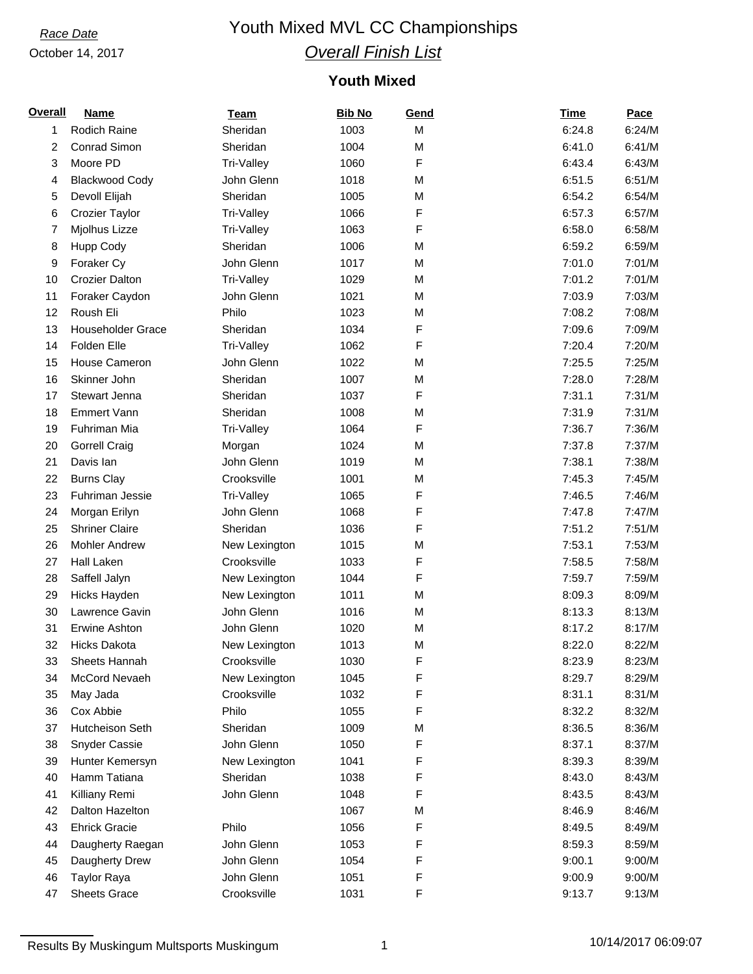### October 14, 2017

## *Race Date* Youth Mixed MVL CC Championships *Overall Finish List*

## **Youth Mixed**

| <b>Overall</b> | <b>Name</b>                                 | <b>Team</b>                  | <b>Bib No</b> | Gend | <b>Time</b> | <b>Pace</b> |
|----------------|---------------------------------------------|------------------------------|---------------|------|-------------|-------------|
| 1              | Rodich Raine                                | Sheridan                     | 1003          | M    | 6:24.8      | 6:24/M      |
| 2              | Conrad Simon                                | Sheridan                     | 1004          | M    | 6:41.0      | 6:41/M      |
| 3              | Moore PD                                    | Tri-Valley                   | 1060          | F    | 6:43.4      | 6:43/M      |
| 4              | <b>Blackwood Cody</b>                       | John Glenn                   | 1018          | M    | 6:51.5      | 6:51/M      |
| 5              | Devoll Elijah                               | Sheridan                     | 1005          | M    | 6:54.2      | 6:54/M      |
| 6              | Crozier Taylor                              | Tri-Valley                   | 1066          | F    | 6:57.3      | 6:57/M      |
| 7              | Mjolhus Lizze                               | Tri-Valley                   | 1063          | F    | 6:58.0      | 6:58/M      |
| 8              | Hupp Cody                                   | Sheridan                     | 1006          | M    | 6:59.2      | 6:59/M      |
| 9              | Foraker Cy                                  | John Glenn                   | 1017          | M    | 7:01.0      | 7:01/M      |
| 10             | <b>Crozier Dalton</b>                       | Tri-Valley                   | 1029          | M    | 7:01.2      | 7:01/M      |
| 11             | Foraker Caydon                              | John Glenn                   | 1021          | M    | 7:03.9      | 7:03/M      |
| 12             | Roush Eli                                   | Philo                        | 1023          | M    | 7:08.2      | 7:08/M      |
| 13             | <b>Householder Grace</b>                    | Sheridan                     | 1034          | F    | 7:09.6      | 7:09/M      |
| 14             | Folden Elle                                 | Tri-Valley                   | 1062          | F    | 7:20.4      | 7:20/M      |
| 15             | House Cameron                               | John Glenn                   | 1022          | M    | 7:25.5      | 7:25/M      |
| 16             | Skinner John                                | Sheridan                     | 1007          | M    | 7:28.0      | 7:28/M      |
| 17             | Stewart Jenna                               | Sheridan                     | 1037          | F    | 7:31.1      | 7:31/M      |
| 18             | <b>Emmert Vann</b>                          | Sheridan                     | 1008          | M    | 7:31.9      | 7:31/M      |
| 19             | Fuhriman Mia                                | Tri-Valley                   | 1064          | F    | 7:36.7      | 7:36/M      |
| 20             | <b>Gorrell Craig</b>                        | Morgan                       | 1024          | M    | 7:37.8      | 7:37/M      |
| 21             | Davis lan                                   | John Glenn                   | 1019          | M    | 7:38.1      | 7:38/M      |
| 22             | <b>Burns Clay</b>                           | Crooksville                  | 1001          | M    | 7:45.3      | 7:45/M      |
| 23             | Fuhriman Jessie                             | Tri-Valley                   | 1065          | F    | 7:46.5      | 7:46/M      |
| 24             | Morgan Erilyn                               | John Glenn                   | 1068          | F    | 7:47.8      | 7:47/M      |
| 25             | <b>Shriner Claire</b>                       | Sheridan                     | 1036          | F    | 7:51.2      | 7:51/M      |
| 26             | <b>Mohler Andrew</b>                        | New Lexington                | 1015          | M    | 7:53.1      | 7:53/M      |
| 27             | Hall Laken                                  | Crooksville                  | 1033          | F    | 7:58.5      | 7:58/M      |
| 28             | Saffell Jalyn                               | New Lexington                | 1044          | F    | 7:59.7      | 7:59/M      |
| 29             | Hicks Hayden                                | New Lexington                | 1011          | M    | 8:09.3      | 8:09/M      |
| 30             | Lawrence Gavin                              | John Glenn                   | 1016          | M    | 8:13.3      | 8:13/M      |
|                |                                             | John Glenn                   | 1020          |      | 8:17.2      | 8:17/M      |
| 31             | <b>Erwine Ashton</b><br><b>Hicks Dakota</b> |                              |               | M    |             | 8:22/M      |
| 32             |                                             | New Lexington<br>Crooksville | 1013          | M    | 8:22.0      |             |
| 33             | Sheets Hannah                               |                              | 1030          | F    | 8:23.9      | 8:23/M      |
| 34             | McCord Nevaeh                               | New Lexington                | 1045          | F    | 8:29.7      | 8:29/M      |
| 35             | May Jada                                    | Crooksville                  | 1032          | F    | 8:31.1      | 8:31/M      |
| 36             | Cox Abbie                                   | Philo                        | 1055          | F    | 8:32.2      | 8:32/M      |
| 37             | Hutcheison Seth                             | Sheridan                     | 1009          | М    | 8:36.5      | 8:36/M      |
| 38             | Snyder Cassie                               | John Glenn                   | 1050          | F    | 8:37.1      | 8:37/M      |
| 39             | Hunter Kemersyn                             | New Lexington                | 1041          | F    | 8:39.3      | 8:39/M      |
| 40             | Hamm Tatiana                                | Sheridan                     | 1038          | F    | 8:43.0      | 8:43/M      |
| 41             | Killiany Remi                               | John Glenn                   | 1048          | F    | 8:43.5      | 8:43/M      |
| 42             | Dalton Hazelton                             |                              | 1067          | M    | 8:46.9      | 8:46/M      |
| 43             | <b>Ehrick Gracie</b>                        | Philo                        | 1056          | F    | 8:49.5      | 8:49/M      |
| 44             | Daugherty Raegan                            | John Glenn                   | 1053          | F    | 8:59.3      | 8:59/M      |
| 45             | Daugherty Drew                              | John Glenn                   | 1054          | F    | 9:00.1      | 9:00/M      |
| 46             | <b>Taylor Raya</b>                          | John Glenn                   | 1051          | F    | 9:00.9      | 9:00/M      |
| 47             | <b>Sheets Grace</b>                         | Crooksville                  | 1031          | F    | 9:13.7      | 9:13/M      |

Results By Muskingum Multsports Muskingum 1 10/14/2017 06:09:07